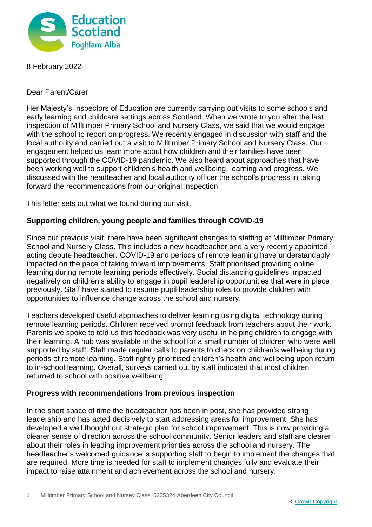

8 February 2022

Dear Parent/Carer

Her Majesty's Inspectors of Education are currently carrying out visits to some schools and early learning and childcare settings across Scotland. When we wrote to you after the last inspection of Milltimber Primary School and Nursery Class, we said that we would engage with the school to report on progress. We recently engaged in discussion with staff and the local authority and carried out a visit to Milltimber Primary School and Nursery Class. Our engagement helped us learn more about how children and their families have been supported through the COVID-19 pandemic. We also heard about approaches that have been working well to support children's health and wellbeing, learning and progress. We discussed with the headteacher and local authority officer the school's progress in taking forward the recommendations from our original inspection.

This letter sets out what we found during our visit.

## **Supporting children, young people and families through COVID-19**

Since our previous visit, there have been significant changes to staffing at Milltimber Primary School and Nursery Class. This includes a new headteacher and a very recently appointed acting depute headteacher. COVID-19 and periods of remote learning have understandably impacted on the pace of taking forward improvements. Staff prioritised providing online learning during remote learning periods effectively. Social distancing guidelines impacted negatively on children's ability to engage in pupil leadership opportunities that were in place previously. Staff have started to resume pupil leadership roles to provide children with opportunities to influence change across the school and nursery.

Teachers developed useful approaches to deliver learning using digital technology during remote learning periods. Children received prompt feedback from teachers about their work. Parents we spoke to told us this feedback was very useful in helping children to engage with their learning. A hub was available in the school for a small number of children who were well supported by staff. Staff made regular calls to parents to check on children's wellbeing during periods of remote learning. Staff rightly prioritised children's health and wellbeing upon return to in-school learning. Overall, surveys carried out by staff indicated that most children returned to school with positive wellbeing.

## **Progress with recommendations from previous inspection**

In the short space of time the headteacher has been in post, she has provided strong leadership and has acted decisively to start addressing areas for improvement. She has developed a well thought out strategic plan for school improvement. This is now providing a clearer sense of direction across the school community. Senior leaders and staff are clearer about their roles in leading improvement priorities across the school and nursery. The headteacher's welcomed guidance is supporting staff to begin to implement the changes that are required. More time is needed for staff to implement changes fully and evaluate their impact to raise attainment and achievement across the school and nursery.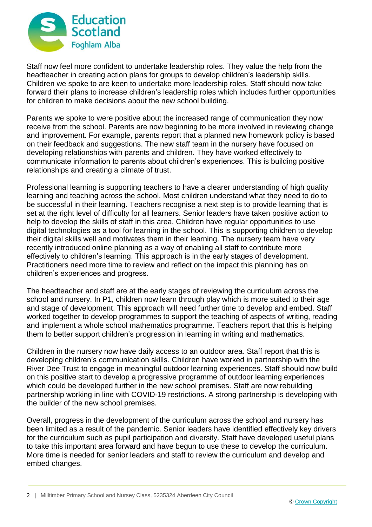

Staff now feel more confident to undertake leadership roles. They value the help from the headteacher in creating action plans for groups to develop children's leadership skills. Children we spoke to are keen to undertake more leadership roles. Staff should now take forward their plans to increase children's leadership roles which includes further opportunities for children to make decisions about the new school building.

Parents we spoke to were positive about the increased range of communication they now receive from the school. Parents are now beginning to be more involved in reviewing change and improvement. For example, parents report that a planned new homework policy is based on their feedback and suggestions. The new staff team in the nursery have focused on developing relationships with parents and children. They have worked effectively to communicate information to parents about children's experiences. This is building positive relationships and creating a climate of trust.

Professional learning is supporting teachers to have a clearer understanding of high quality learning and teaching across the school. Most children understand what they need to do to be successful in their learning. Teachers recognise a next step is to provide learning that is set at the right level of difficulty for all learners. Senior leaders have taken positive action to help to develop the skills of staff in this area. Children have regular opportunities to use digital technologies as a tool for learning in the school. This is supporting children to develop their digital skills well and motivates them in their learning. The nursery team have very recently introduced online planning as a way of enabling all staff to contribute more effectively to children's learning. This approach is in the early stages of development. Practitioners need more time to review and reflect on the impact this planning has on children's experiences and progress.

The headteacher and staff are at the early stages of reviewing the curriculum across the school and nursery. In P1, children now learn through play which is more suited to their age and stage of development. This approach will need further time to develop and embed. Staff worked together to develop programmes to support the teaching of aspects of writing, reading and implement a whole school mathematics programme. Teachers report that this is helping them to better support children's progression in learning in writing and mathematics.

Children in the nursery now have daily access to an outdoor area. Staff report that this is developing children's communication skills. Children have worked in partnership with the River Dee Trust to engage in meaningful outdoor learning experiences. Staff should now build on this positive start to develop a progressive programme of outdoor learning experiences which could be developed further in the new school premises. Staff are now rebuilding partnership working in line with COVID-19 restrictions. A strong partnership is developing with the builder of the new school premises.

Overall, progress in the development of the curriculum across the school and nursery has been limited as a result of the pandemic. Senior leaders have identified effectively key drivers for the curriculum such as pupil participation and diversity. Staff have developed useful plans to take this important area forward and have begun to use these to develop the curriculum. More time is needed for senior leaders and staff to review the curriculum and develop and embed changes.